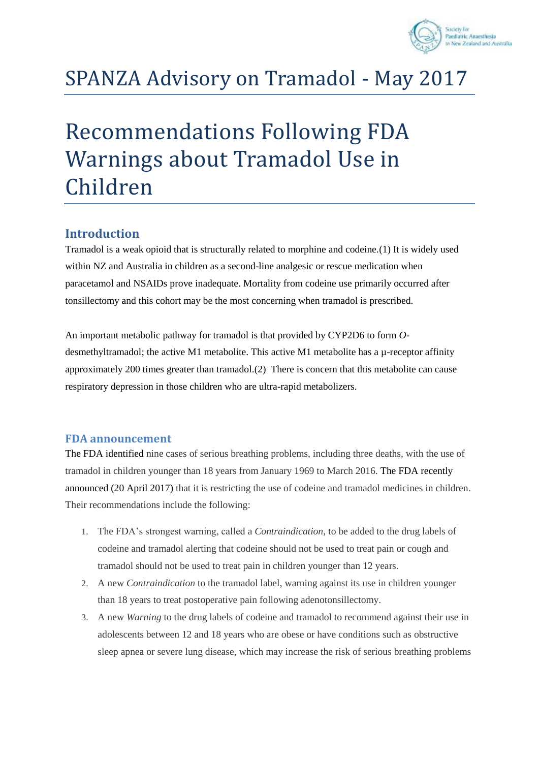

# SPANZA Advisory on Tramadol - May 2017

# Recommendations Following FDA Warnings about Tramadol Use in Children

## **Introduction**

Tramadol is a weak opioid that is structurally related to morphine and codeine.(1) It is widely used within NZ and Australia in children as a second-line analgesic or rescue medication when paracetamol and NSAIDs prove inadequate. Mortality from codeine use primarily occurred after tonsillectomy and this cohort may be the most concerning when tramadol is prescribed.

An important metabolic pathway for tramadol is that provided by CYP2D6 to form *O*desmethyltramadol; the active M1 metabolite. This active M1 metabolite has a  $\mu$ -receptor affinity approximately 200 times greater than tramadol.(2) There is concern that this metabolite can cause respiratory depression in those children who are ultra-rapid metabolizers.

#### **FDA announcement**

The FDA identified nine cases of serious breathing problems, including three deaths, with the use of tramadol in children younger than 18 years from January 1969 to March 2016. The FDA recently announced (20 April 2017) that it is restricting the use of codeine and tramadol medicines in children. Their recommendations include the following:

- 1. The FDA's strongest warning, called a *Contraindication*, to be added to the drug labels of codeine and tramadol alerting that codeine should not be used to treat pain or cough and tramadol should not be used to treat pain in children younger than 12 years.
- 2. A new *Contraindication* to the tramadol label, warning against its use in children younger than 18 years to treat postoperative pain following adenotonsillectomy.
- 3. A new *Warning* to the drug labels of codeine and tramadol to recommend against their use in adolescents between 12 and 18 years who are obese or have conditions such as obstructive sleep apnea or severe lung disease, which may increase the risk of serious breathing problems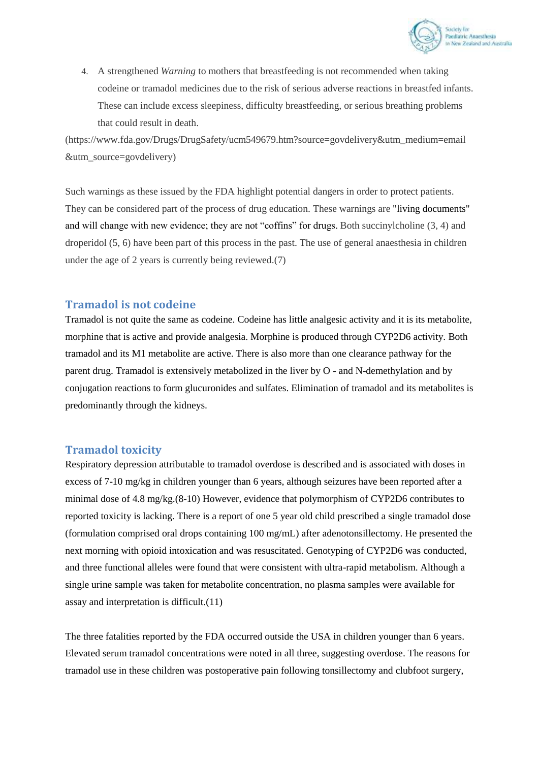

4. A strengthened *Warning* to mothers that breastfeeding is not recommended when taking codeine or tramadol medicines due to the risk of serious adverse reactions in breastfed infants. These can include excess sleepiness, difficulty breastfeeding, or serious breathing problems that could result in death.

(https://www.fda.gov/Drugs/DrugSafety/ucm549679.htm?source=govdelivery&utm\_medium=email &utm\_source=govdelivery)

Such warnings as these issued by the FDA highlight potential dangers in order to protect patients. They can be considered part of the process of drug education. These warnings are "living documents" and will change with new evidence; they are not "coffins" for drugs. Both succinylcholine (3, 4) and droperidol (5, 6) have been part of this process in the past. The use of general anaesthesia in children under the age of 2 years is currently being reviewed.(7)

#### **Tramadol is not codeine**

Tramadol is not quite the same as codeine. Codeine has little analgesic activity and it is its metabolite, morphine that is active and provide analgesia. Morphine is produced through CYP2D6 activity. Both tramadol and its M1 metabolite are active. There is also more than one clearance pathway for the parent drug. Tramadol is extensively metabolized in the liver by O - and N-demethylation and by conjugation reactions to form glucuronides and sulfates. Elimination of tramadol and its metabolites is predominantly through the kidneys.

#### **Tramadol toxicity**

Respiratory depression attributable to tramadol overdose is described and is associated with doses in excess of 7-10 mg/kg in children younger than 6 years, although seizures have been reported after a minimal dose of 4.8 mg/kg.(8-10) However, evidence that polymorphism of CYP2D6 contributes to reported toxicity is lacking. There is a report of one 5 year old child prescribed a single tramadol dose (formulation comprised oral drops containing 100 mg/mL) after adenotonsillectomy. He presented the next morning with opioid intoxication and was resuscitated. Genotyping of CYP2D6 was conducted, and three functional alleles were found that were consistent with ultra-rapid metabolism. Although a single urine sample was taken for metabolite concentration, no plasma samples were available for assay and interpretation is difficult.(11)

The three fatalities reported by the FDA occurred outside the USA in children younger than 6 years. Elevated serum tramadol concentrations were noted in all three, suggesting overdose. The reasons for tramadol use in these children was postoperative pain following tonsillectomy and clubfoot surgery,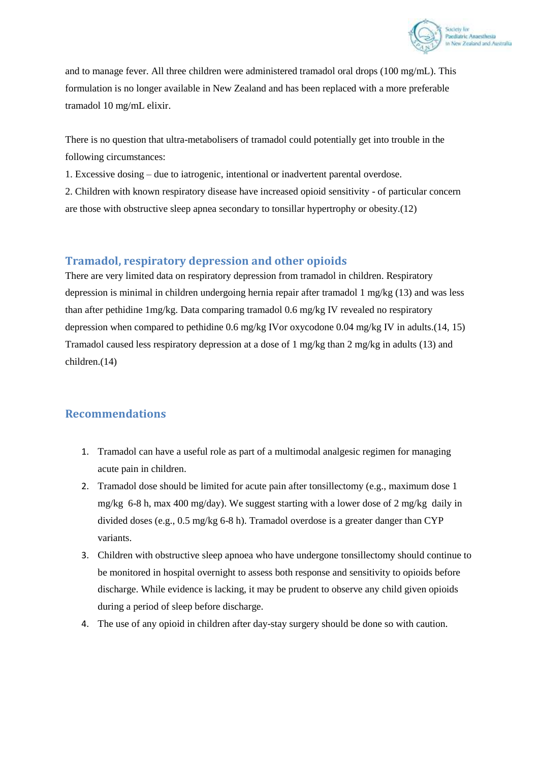

and to manage fever. All three children were administered tramadol oral drops (100 mg/mL). This formulation is no longer available in New Zealand and has been replaced with a more preferable tramadol 10 mg/mL elixir.

There is no question that ultra-metabolisers of tramadol could potentially get into trouble in the following circumstances:

1. Excessive dosing – due to iatrogenic, intentional or inadvertent parental overdose.

2. Children with known respiratory disease have increased opioid sensitivity - of particular concern are those with obstructive sleep apnea secondary to tonsillar hypertrophy or obesity.(12)

## **Tramadol, respiratory depression and other opioids**

There are very limited data on respiratory depression from tramadol in children. Respiratory depression is minimal in children undergoing hernia repair after tramadol 1 mg/kg (13) and was less than after pethidine 1mg/kg. Data comparing tramadol 0.6 mg/kg IV revealed no respiratory depression when compared to pethidine 0.6 mg/kg IVor oxycodone 0.04 mg/kg IV in adults.(14, 15) Tramadol caused less respiratory depression at a dose of 1 mg/kg than 2 mg/kg in adults (13) and children.(14)

## **Recommendations**

- 1. Tramadol can have a useful role as part of a multimodal analgesic regimen for managing acute pain in children.
- 2. Tramadol dose should be limited for acute pain after tonsillectomy (e.g., maximum dose 1 mg/kg 6-8 h, max 400 mg/day). We suggest starting with a lower dose of 2 mg/kg daily in divided doses (e.g., 0.5 mg/kg 6-8 h). Tramadol overdose is a greater danger than CYP variants.
- 3. Children with obstructive sleep apnoea who have undergone tonsillectomy should continue to be monitored in hospital overnight to assess both response and sensitivity to opioids before discharge. While evidence is lacking, it may be prudent to observe any child given opioids during a period of sleep before discharge.
- 4. The use of any opioid in children after day-stay surgery should be done so with caution.